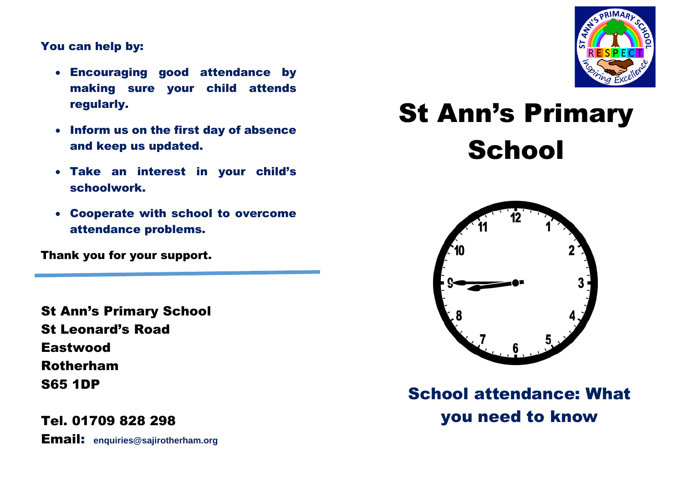## You can help by:

- Encouraging good attendance by making sure your child attends regularly.
- Inform us on the first day of absence and keep us updated.
- Take an interest in your child's schoolwork.
- Cooperate with school to overcome attendance problems.

Thank you for your support.

St Ann's Primary School St Leonard's Road **Eastwood** Rotherham S65 1DP

Tel. 01709 828 298 Email: **enquiries@sajirotherham.org**



# St Ann's Primary **School**



School attendance: What you need to know